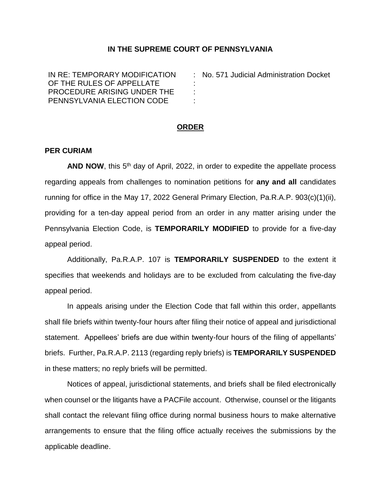## **IN THE SUPREME COURT OF PENNSYLVANIA**

: : : :

IN RE: TEMPORARY MODIFICATION OF THE RULES OF APPELLATE PROCEDURE ARISING UNDER THE PENNSYLVANIA ELECTION CODE

No. 571 Judicial Administration Docket

## **ORDER**

## **PER CURIAM**

AND NOW, this 5<sup>th</sup> day of April, 2022, in order to expedite the appellate process regarding appeals from challenges to nomination petitions for **any and all** candidates running for office in the May 17, 2022 General Primary Election, Pa.R.A.P. 903(c)(1)(ii), providing for a ten-day appeal period from an order in any matter arising under the Pennsylvania Election Code, is **TEMPORARILY MODIFIED** to provide for a five-day appeal period.

Additionally, Pa.R.A.P. 107 is **TEMPORARILY SUSPENDED** to the extent it specifies that weekends and holidays are to be excluded from calculating the five-day appeal period.

In appeals arising under the Election Code that fall within this order, appellants shall file briefs within twenty-four hours after filing their notice of appeal and jurisdictional statement. Appellees' briefs are due within twenty-four hours of the filing of appellants' briefs. Further, Pa.R.A.P. 2113 (regarding reply briefs) is **TEMPORARILY SUSPENDED**  in these matters; no reply briefs will be permitted.

Notices of appeal, jurisdictional statements, and briefs shall be filed electronically when counsel or the litigants have a PACFile account. Otherwise, counsel or the litigants shall contact the relevant filing office during normal business hours to make alternative arrangements to ensure that the filing office actually receives the submissions by the applicable deadline.